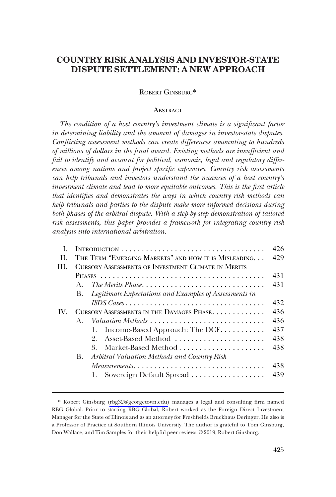# **COUNTRY RISK ANALYSIS AND INVESTOR-STATE DISPUTE SETTLEMENT: A NEW APPROACH**

## ROBERT GINSBURG\*

## **ABSTRACT**

*The condition of a host country's investment climate is a significant factor in determining liability and the amount of damages in investor-state disputes. Conflicting assessment methods can create differences amounting to hundreds of millions of dollars in the final award. Existing methods are insufficient and fail to identify and account for political, economic, legal and regulatory differences among nations and project specific exposures. Country risk assessments can help tribunals and investors understand the nuances of a host country's investment climate and lead to more equitable outcomes. This is the first article that identifies and demonstrates the ways in which country risk methods can help tribunals and parties to the dispute make more informed decisions during*  both phases of the arbitral dispute. With a step-by-step demonstration of tailored *risk assessments, this paper provides a framework for integrating country risk analysis into international arbitration.* 

|     |                                                            |                                                                                | 426 |
|-----|------------------------------------------------------------|--------------------------------------------------------------------------------|-----|
| H.  |                                                            | THE TERM "EMERGING MARKETS" AND HOW IT IS MISLEADING.                          | 429 |
| HL. | <b>CURSORY ASSESSMENTS OF INVESTMENT CLIMATE IN MERITS</b> |                                                                                |     |
|     |                                                            |                                                                                | 431 |
|     | $A_{\cdot}$                                                |                                                                                | 431 |
|     | B.                                                         | Legitimate Expectations and Examples of Assessments in                         |     |
|     |                                                            | ISDS Cases                                                                     | 432 |
| IV. | CURSORY ASSESSMENTS IN THE DAMAGES PHASE                   |                                                                                | 436 |
|     | $\mathbf{A}$                                               |                                                                                | 436 |
|     |                                                            | 1. Income-Based Approach: The DCF                                              | 437 |
|     |                                                            | Asset-Based Method<br>$2_{-}$                                                  | 438 |
|     |                                                            | $\mathcal{S}^-$                                                                | 438 |
|     | В.                                                         | Arbitral Valuation Methods and Country Risk                                    |     |
|     |                                                            | $Measurements. \ldots \ldots \ldots \ldots \ldots \ldots \ldots \ldots \ldots$ | 438 |
|     |                                                            | 1. Sovereign Default Spread                                                    | 439 |
|     |                                                            |                                                                                |     |

Robert Ginsburg [\(rbg32@georgetown.edu\)](mailto:rbg32@georgetown.edu) manages a legal and consulting firm named \* RBG Global. Prior to starting RBG Global, Robert worked as the Foreign Direct Investment Manager for the State of Illinois and as an attorney for Freshfields Bruckhaus Deringer. He also is a Professor of Practice at Southern Illinois University. The author is grateful to Tom Ginsburg, Don Wallace, and Tim Samples for their helpful peer reviews. © 2019, Robert Ginsburg.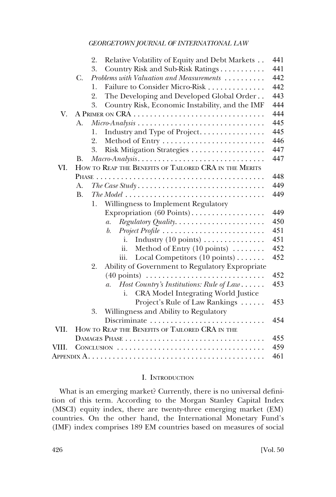<span id="page-1-0"></span>

|       | 441<br>Relative Volatility of Equity and Debt Markets<br>2.                                                   |  |  |  |  |  |
|-------|---------------------------------------------------------------------------------------------------------------|--|--|--|--|--|
|       | 441<br>3.<br>Country Risk and Sub-Risk Ratings                                                                |  |  |  |  |  |
|       | 442<br>Problems with Valuation and Measurements<br>$C_{\cdot}$                                                |  |  |  |  |  |
|       | Failure to Consider Micro-Risk<br>442<br>1.                                                                   |  |  |  |  |  |
|       | 2.<br>443<br>The Developing and Developed Global Order                                                        |  |  |  |  |  |
|       | 444<br>3.<br>Country Risk, Economic Instability, and the IMF                                                  |  |  |  |  |  |
| V.    | A PRIMER ON CRA                                                                                               |  |  |  |  |  |
|       | 445<br>$Micro-Analysis \ldots \ldots \ldots \ldots \ldots \ldots \ldots \ldots \ldots \ldots$<br>А.           |  |  |  |  |  |
|       | 445<br>Industry and Type of Project<br>1.                                                                     |  |  |  |  |  |
|       | 2.<br>446                                                                                                     |  |  |  |  |  |
|       | 447<br>3.<br>Risk Mitigation Strategies                                                                       |  |  |  |  |  |
| В.    | 447<br>Macro-Analysis                                                                                         |  |  |  |  |  |
| VI.   | HOW TO REAP THE BENEFITS OF TAILORED CRA IN THE MERITS                                                        |  |  |  |  |  |
|       | 448                                                                                                           |  |  |  |  |  |
|       | 449<br>A.                                                                                                     |  |  |  |  |  |
|       | 449<br>$\mathbf{B}$ .                                                                                         |  |  |  |  |  |
|       | 1. Willingness to Implement Regulatory                                                                        |  |  |  |  |  |
|       | 449<br>Expropriation (60 Points)                                                                              |  |  |  |  |  |
|       | 450<br>Regulatory Quality<br>$\mathfrak{a}.$                                                                  |  |  |  |  |  |
|       | Project Profile<br>451<br>$b$ .                                                                               |  |  |  |  |  |
|       | 451<br>Industry $(10 \text{ points}) \dots \dots \dots \dots$<br>i.                                           |  |  |  |  |  |
|       | 452<br>Method of Entry $(10 \text{ points}) \dots \dots$<br>ii.                                               |  |  |  |  |  |
|       | Local Competitors (10 points)<br>452<br>iii.                                                                  |  |  |  |  |  |
|       | Ability of Government to Regulatory Expropriate<br>2.                                                         |  |  |  |  |  |
|       | $(40 \text{ points}) \dots \dots \dots \dots \dots \dots \dots \dots \dots$<br>452                            |  |  |  |  |  |
|       | Host Country's Institutions: Rule of Law<br>453<br>$\overline{a}$ .                                           |  |  |  |  |  |
|       | CRA Model Integrating World Justice<br>i.                                                                     |  |  |  |  |  |
|       | Project's Rule of Law Rankings<br>453                                                                         |  |  |  |  |  |
|       | Willingness and Ability to Regulatory<br>3.                                                                   |  |  |  |  |  |
|       | Discriminate<br>454                                                                                           |  |  |  |  |  |
| VII.  | HOW TO REAP THE BENEFITS OF TAILORED CRA IN THE                                                               |  |  |  |  |  |
|       | 455                                                                                                           |  |  |  |  |  |
| VIII. | 459                                                                                                           |  |  |  |  |  |
|       | 461<br>Appendix $\mathrm{A}.\dots\dots\dots\dots\dots\dots\dots\dots\dots\dots\dots\dots\dots\dots\dots\dots$ |  |  |  |  |  |

## I. INTRODUCTION

What is an emerging market? Currently, there is no universal definition of this term. According to the Morgan Stanley Capital Index (MSCI) equity index, there are twenty-three emerging market (EM) countries. On the other hand, the International Monetary Fund's (IMF) index comprises 189 EM countries based on measures of social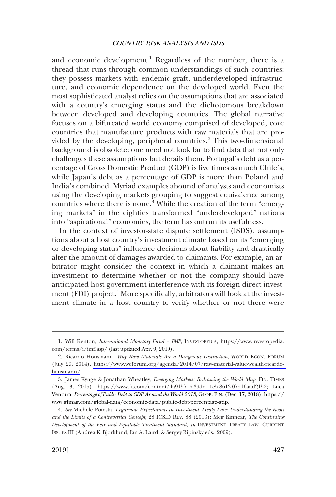and economic development.<sup>1</sup> Regardless of the number, there is a thread that runs through common understandings of such countries: they possess markets with endemic graft, underdeveloped infrastructure, and economic dependence on the developed world. Even the most sophisticated analyst relies on the assumptions that are associated with a country's emerging status and the dichotomous breakdown between developed and developing countries. The global narrative focuses on a bifurcated world economy comprised of developed, core countries that manufacture products with raw materials that are provided by the developing, peripheral countries.<sup>2</sup> This two-dimensional background is obsolete: one need not look far to find data that not only challenges these assumptions but derails them. Portugal's debt as a percentage of Gross Domestic Product (GDP) is five times as much Chile's, while Japan's debt as a percentage of GDP is more than Poland and India's combined. Myriad examples abound of analysts and economists using the developing markets grouping to suggest equivalence among countries where there is none.<sup>3</sup> While the creation of the term "emerging markets" in the eighties transformed "underdeveloped" nations into "aspirational" economies, the term has outrun its usefulness.

In the context of investor-state dispute settlement (ISDS), assumptions about a host country's investment climate based on its "emerging or developing status" influence decisions about liability and drastically alter the amount of damages awarded to claimants. For example, an arbitrator might consider the context in which a claimant makes an investment to determine whether or not the company should have anticipated host government interference with its foreign direct investment (FDI) project.<sup>4</sup> More specifically, arbitrators will look at the investment climate in a host country to verify whether or not there were

<sup>1.</sup> Will Kenton, *International Monetary Fund - IMF*, INVESTOPEDIA, https://www.investopedia. [com/terms/i/imf.asp/](https://www.investopedia.com/terms/i/imf.asp/) (last updated Apr. 9, 2019).

<sup>2.</sup> Ricardo Housmann, *Why Raw Materials Are a Dangerous Distraction*, WORLD ECON. FORUM (July 29, 2014), [https://www.weforum.org/agenda/2014/07/raw-material-value-wealth-ricardo](https://www.weforum.org/agenda/2014/07/raw-material-value-wealth-ricardo-hausmann/)[hausmann/](https://www.weforum.org/agenda/2014/07/raw-material-value-wealth-ricardo-hausmann/).

<sup>3.</sup> James Kynge & Jonathan Wheatley, *Emerging Markets: Redrawing the World Map*, FIN. TIMES (Aug. 3, 2015), [https://www.ft.com/content/4a915716-39dc-11e5-8613-07d16aad2152;](https://www.ft.com/content/4a915716-39dc-11e5-8613-07d16aad2152) Luca Ventura, *Percentage of Public Debt to GDP Around the World 2018*, GLOB. FIN. (Dec. 17, 2018), [https://](https://www.gfmag.com/global-data/economic-data/public-debt-percentage-gdp)  [www.gfmag.com/global-data/economic-data/public-debt-percentage-gdp.](https://www.gfmag.com/global-data/economic-data/public-debt-percentage-gdp)

<sup>4.</sup> *See* Michele Potesta, *Legitimate Expectations in Investment Treaty Law: Understanding the Roots and the Limits of a Controversial Concept*, 28 ICSID REV. 88 (2013); Meg Kinnear, *The Continuing Development of the Fair and Equitable Treatment Standard, in* INVESTMENT TREATY LAW: CURRENT ISSUES III (Andrea K. Bjorklund, Ian A. Laird, & Sergey Ripinsky eds., 2009).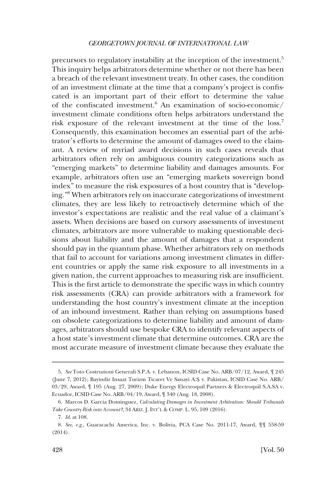precursors to regulatory instability at the inception of the investment.<sup>5</sup> This inquiry helps arbitrators determine whether or not there has been a breach of the relevant investment treaty. In other cases, the condition of an investment climate at the time that a company's project is confiscated is an important part of their effort to determine the value of the confiscated investment.6 An examination of socio-economic/ investment climate conditions often helps arbitrators understand the risk exposure of the relevant investment at the time of the loss.<sup>7</sup> Consequently, this examination becomes an essential part of the arbitrator's efforts to determine the amount of damages owed to the claimant. A review of myriad award decisions in such cases reveals that arbitrators often rely on ambiguous country categorizations such as "emerging markets" to determine liability and damages amounts. For example, arbitrators often use an "emerging markets sovereign bond index" to measure the risk exposures of a host country that is "developing."8 When arbitrators rely on inaccurate categorizations of investment climates, they are less likely to retroactively determine which of the investor's expectations are realistic and the real value of a claimant's assets. When decisions are based on cursory assessments of investment climates, arbitrators are more vulnerable to making questionable decisions about liability and the amount of damages that a respondent should pay in the quantum phase. Whether arbitrators rely on methods that fail to account for variations among investment climates in different countries or apply the same risk exposure to all investments in a given nation, the current approaches to measuring risk are insufficient. This is the first article to demonstrate the specific ways in which country risk assessments (CRA) can provide arbitrators with a framework for understanding the host country's investment climate at the inception of an inbound investment. Rather than relying on assumptions based on obsolete categorizations to determine liability and amount of damages, arbitrators should use bespoke CRA to identify relevant aspects of a host state's investment climate that determine outcomes. CRA are the most accurate measure of investment climate because they evaluate the

<sup>5.</sup> *See* Toto Costruzioni Generali S.P.A. v. Lebanon, ICSID Case No. ARB/07/12, Award, ¶ 245 (June 7, 2012); Bayindir Insaat Turizm Ticaret Ve Sanayi A.S¸. v. Pakistan, ICSID Case No. ARB/ 03/29, Award, ¶ 195 (Aug. 27, 2009); Duke Energy Electroquil Partners & Electroquil S.A.SA v. Ecuador, ICSID Case No. ARB/04/19, Award, ¶ 340 (Aug. 18, 2008).

<sup>6.</sup> Marcos D. Garcia Dominguez, *Calculating Damages in Investment Arbitration: Should Tribunals Take Country Risk into Account?*, 34 ARIZ. J. INT'L & COMP. L. 95, 109 (2016).

<sup>7.</sup> *Id*. at 108.

<sup>8.</sup> *See, e.g*., Guaracachi America, Inc. v. Bolivia, PCA Case No. 2011-17, Award, ¶¶ 558-59 (2014).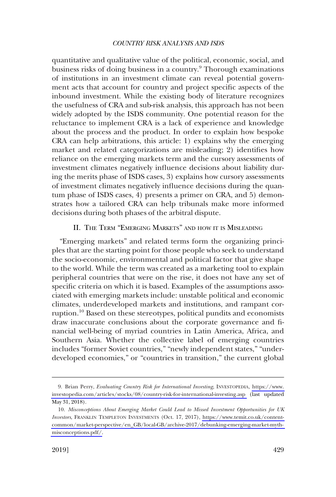<span id="page-4-0"></span>quantitative and qualitative value of the political, economic, social, and business risks of doing business in a country.<sup>9</sup> Thorough examinations of institutions in an investment climate can reveal potential government acts that account for country and project specific aspects of the inbound investment. While the existing body of literature recognizes the usefulness of CRA and sub-risk analysis, this approach has not been widely adopted by the ISDS community. One potential reason for the reluctance to implement CRA is a lack of experience and knowledge about the process and the product. In order to explain how bespoke CRA can help arbitrations, this article: 1) explains why the emerging market and related categorizations are misleading; 2) identifies how reliance on the emerging markets term and the cursory assessments of investment climates negatively influence decisions about liability during the merits phase of ISDS cases, 3) explains how cursory assessments of investment climates negatively influence decisions during the quantum phase of ISDS cases, 4) presents a primer on CRA, and 5) demonstrates how a tailored CRA can help tribunals make more informed decisions during both phases of the arbitral dispute.

## II. THE TERM "EMERGING MARKETS" AND HOW IT IS MISLEADING

"Emerging markets" and related terms form the organizing principles that are the starting point for those people who seek to understand the socio-economic, environmental and political factor that give shape to the world. While the term was created as a marketing tool to explain peripheral countries that were on the rise, it does not have any set of specific criteria on which it is based. Examples of the assumptions associated with emerging markets include: unstable political and economic climates, underdeveloped markets and institutions, and rampant corruption.10 Based on these stereotypes, political pundits and economists draw inaccurate conclusions about the corporate governance and financial well-being of myriad countries in Latin America, Africa, and Southern Asia. Whether the collective label of emerging countries includes "former Soviet countries," "newly independent states," "underdeveloped economies," or "countries in transition," the current global

Brian Perry, *Evaluating Country Risk for International Investing*, INVESTOPEDIA, [https://www.](https://www.investopedia.com/articles/stocks/08/country-risk-for-international-investing.asp)  9. [investopedia.com/articles/stocks/08/country-risk-for-international-investing.asp](https://www.investopedia.com/articles/stocks/08/country-risk-for-international-investing.asp) (last updated May 31, 2018).

*Misconceptions About Emerging Market Could Lead to Missed Investment Opportunities for UK*  10. *Investors*, FRANKLIN TEMPLETON INVESTMENTS (Oct. 17, 2017), [https://www.temit.co.uk/content](https://www.temit.co.uk/content-common/market-perspective/en_GB/local-GB/archive-2017/debunking-emerging-market-myth-misconceptions.pdf)[common/market-perspective/en\\_GB/local-GB/archive-2017/debunking-emerging-market-myth](https://www.temit.co.uk/content-common/market-perspective/en_GB/local-GB/archive-2017/debunking-emerging-market-myth-misconceptions.pdf)[misconceptions.pdf/.](https://www.temit.co.uk/content-common/market-perspective/en_GB/local-GB/archive-2017/debunking-emerging-market-myth-misconceptions.pdf)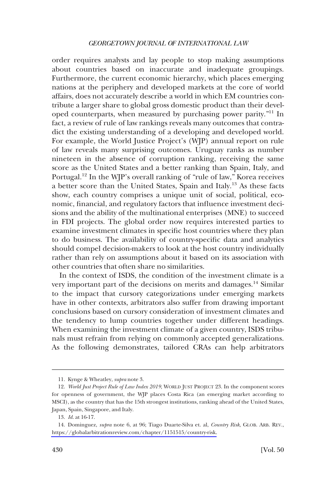order requires analysts and lay people to stop making assumptions about countries based on inaccurate and inadequate groupings. Furthermore, the current economic hierarchy, which places emerging nations at the periphery and developed markets at the core of world affairs, does not accurately describe a world in which EM countries contribute a larger share to global gross domestic product than their developed counterparts, when measured by purchasing power parity."11 In fact, a review of rule of law rankings reveals many outcomes that contradict the existing understanding of a developing and developed world. For example, the World Justice Project's (WJP) annual report on rule of law reveals many surprising outcomes. Uruguay ranks as number nineteen in the absence of corruption ranking, receiving the same score as the United States and a better ranking than Spain, Italy, and Portugal.<sup>12</sup> In the WJP's overall ranking of "rule of law," Korea receives a better score than the United States, Spain and Italy.13 As these facts show, each country comprises a unique unit of social, political, economic, financial, and regulatory factors that influence investment decisions and the ability of the multinational enterprises (MNE) to succeed in FDI projects. The global order now requires interested parties to examine investment climates in specific host countries where they plan to do business. The availability of country-specific data and analytics should compel decision-makers to look at the host country individually rather than rely on assumptions about it based on its association with other countries that often share no similarities.

In the context of ISDS, the condition of the investment climate is a very important part of the decisions on merits and damages.<sup>14</sup> Similar to the impact that cursory categorizations under emerging markets have in other contexts, arbitrators also suffer from drawing important conclusions based on cursory consideration of investment climates and the tendency to lump countries together under different headings. When examining the investment climate of a given country, ISDS tribunals must refrain from relying on commonly accepted generalizations. As the following demonstrates, tailored CRAs can help arbitrators

<sup>11.</sup> Kynge & Wheatley, *supra* note 3.

<sup>12.</sup> *World Just Project Rule of Law Index 2019*, WORLD JUST PROJECT 23. In the component scores for openness of government, the WJP places Costa Rica (an emerging market according to MSCI), as the country that has the 15th strongest institutions, ranking ahead of the United States, Japan, Spain, Singapore, and Italy.

<sup>13.</sup> *Id*. at 16-17.

Dominguez, *supra* note 6, at 96; Tiago Duarte-Silva et. al, *Country Risk*, GLOB. ARB. REV., 14. [https://globalarbitrationreview.com/chapter/1151515/country-risk.](https://globalarbitrationreview.com/chapter/1151515/country-risk)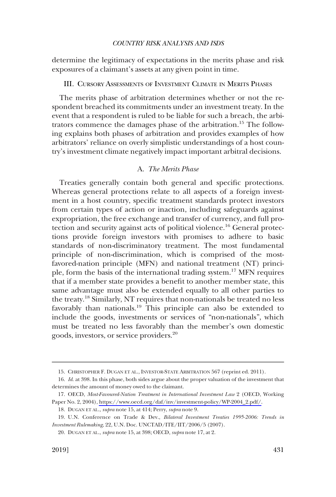<span id="page-6-0"></span>determine the legitimacy of expectations in the merits phase and risk exposures of a claimant's assets at any given point in time.

## III. CURSORY ASSESSMENTS OF INVESTMENT CLIMATE IN MERITS PHASES

The merits phase of arbitration determines whether or not the respondent breached its commitments under an investment treaty. In the event that a respondent is ruled to be liable for such a breach, the arbitrators commence the damages phase of the arbitration.15 The following explains both phases of arbitration and provides examples of how arbitrators' reliance on overly simplistic understandings of a host country's investment climate negatively impact important arbitral decisions.

## A. *The Merits Phase*

Treaties generally contain both general and specific protections. Whereas general protections relate to all aspects of a foreign investment in a host country, specific treatment standards protect investors from certain types of action or inaction, including safeguards against expropriation, the free exchange and transfer of currency, and full protection and security against acts of political violence.16 General protections provide foreign investors with promises to adhere to basic standards of non-discriminatory treatment. The most fundamental principle of non-discrimination, which is comprised of the mostfavored-nation principle (MFN) and national treatment (NT) principle, form the basis of the international trading system.<sup>17</sup> MFN requires that if a member state provides a benefit to another member state, this same advantage must also be extended equally to all other parties to the treaty.18 Similarly, NT requires that non-nationals be treated no less favorably than nationals.19 This principle can also be extended to include the goods, investments or services of "non-nationals", which must be treated no less favorably than the member's own domestic goods, investors, or service providers.20

<sup>15.</sup> CHRISTOPHER F. DUGAN ET AL., INVESTOR-STATE ARBITRATION 567 (reprint ed. 2011).

<sup>16.</sup> *Id*. at 398. In this phase, both sides argue about the proper valuation of the investment that determines the amount of money owed to the claimant.

OECD, *Most-Favoured-Nation Treatment in International Investment Law* 2 (OECD, Working 17. Paper No. 2, 2004), [https://www.oecd.org/daf/inv/investment-policy/WP-2004\\_2.pdf/.](https://www.oecd.org/daf/inv/investment-policy/WP-2004_2.pdf)

<sup>18.</sup> DUGAN ET AL., *supra* note 15, at 414; Perry, *supra* note 9.

<sup>19.</sup> U.N. Conference on Trade & Dev., *Bilateral Investment Treaties 1995-2006: Trends in Investment Rulemaking*, 22, U.N. Doc. UNCTAD/ITE/IIT/2006/5 (2007).

<sup>20.</sup> DUGAN ET AL., *supra* note 15, at 398; OECD, *supra* note 17, at 2.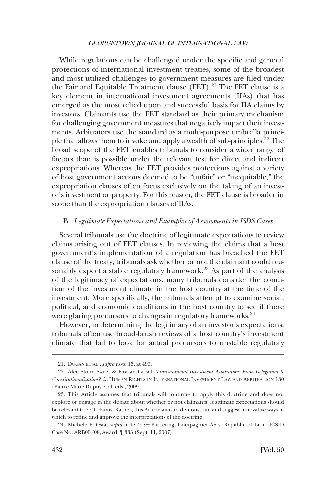<span id="page-7-0"></span>While regulations can be challenged under the specific and general protections of international investment treaties, some of the broadest and most utilized challenges to government measures are filed under the Fair and Equitable Treatment clause  $(FET)$ .<sup>21</sup> The FET clause is a key element in international investment agreements (IIAs) that has emerged as the most relied upon and successful basis for IIA claims by investors. Claimants use the FET standard as their primary mechanism for challenging government measures that negatively impact their investments. Arbitrators use the standard as a multi-purpose umbrella principle that allows them to invoke and apply a wealth of sub-principles.22 The broad scope of the FET enables tribunals to consider a wider range of factors than is possible under the relevant test for direct and indirect expropriations. Whereas the FET provides protections against a variety of host government actions deemed to be "unfair" or "inequitable," the expropriation clauses often focus exclusively on the taking of an investor's investment or property. For this reason, the FET clause is broader in scope than the expropriation clauses of IIAs.

## B. *Legitimate Expectations and Examples of Assessments in ISDS Cases*

Several tribunals use the doctrine of legitimate expectations to review claims arising out of FET clauses. In reviewing the claims that a host government's implementation of a regulation has breached the FET clause of the treaty, tribunals ask whether or not the claimant could reasonably expect a stable regulatory framework.<sup>23</sup> As part of the analysis of the legitimacy of expectations, many tribunals consider the condition of the investment climate in the host country at the time of the investment. More specifically, the tribunals attempt to examine social, political, and economic conditions in the host country to see if there were glaring precursors to changes in regulatory frameworks.<sup>24</sup>

However, in determining the legitimacy of an investor's expectations, tribunals often use broad-brush reviews of a host country's investment climate that fail to look for actual precursors to unstable regulatory

<sup>21.</sup> DUGAN ET AL., *supra* note 15, at 493.

<sup>22.</sup> Alec Stone Sweet & Florian Grisel, *Transnational Investment Arbitration: From Delegation to Constitutionalization?*, *in* HUMAN RIGHTS IN INTERNATIONAL INVESTMENT LAW AND ARBITRATION 130 (Pierre-Marie Dupuy et al. eds., 2009).

<sup>23.</sup> This Article assumes that tribunals will continue to apply this doctrine and does not explore or engage in the debate about whether or not claimants' legitimate expectations should be relevant to FET claims. Rather, this Article aims to demonstrate and suggest innovative ways in which to refine and improve the interpretations of the doctrine.

<sup>24.</sup> Michele Potesta, *supra* note 4; *see* Parkerings-Compagniet AS v. Republic of Lith., ICSID Case No. ARB05/08, Award, ¶ 335 (Sept. 11, 2007).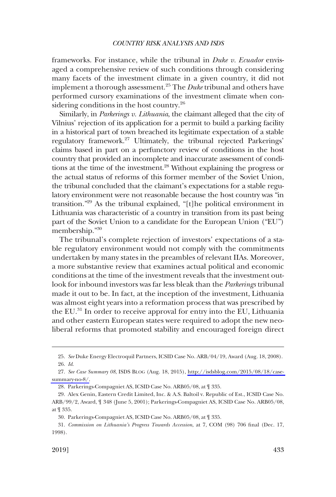frameworks. For instance, while the tribunal in *Duke v. Ecuador* envisaged a comprehensive review of such conditions through considering many facets of the investment climate in a given country, it did not implement a thorough assessment.25 The *Duke* tribunal and others have performed cursory examinations of the investment climate when considering conditions in the host country.<sup>26</sup>

Similarly, in *Parkerings v. Lithuania*, the claimant alleged that the city of Vilnius' rejection of its application for a permit to build a parking facility in a historical part of town breached its legitimate expectation of a stable regulatory framework.<sup>27</sup> Ultimately, the tribunal rejected Parkerings' claims based in part on a perfunctory review of conditions in the host country that provided an incomplete and inaccurate assessment of conditions at the time of the investment.28 Without explaining the progress or the actual status of reforms of this former member of the Soviet Union, the tribunal concluded that the claimant's expectations for a stable regulatory environment were not reasonable because the host country was "in transition."29 As the tribunal explained, "[t]he political environment in Lithuania was characteristic of a country in transition from its past being part of the Soviet Union to a candidate for the European Union ("EU") membership."30

The tribunal's complete rejection of investors' expectations of a stable regulatory environment would not comply with the commitments undertaken by many states in the preambles of relevant IIAs. Moreover, a more substantive review that examines actual political and economic conditions at the time of the investment reveals that the investment outlook for inbound investors was far less bleak than the *Parkerings* tribunal made it out to be. In fact, at the inception of the investment, Lithuania was almost eight years into a reformation process that was prescribed by the EU.<sup>31</sup> In order to receive approval for entry into the EU, Lithuania and other eastern European states were required to adopt the new neoliberal reforms that promoted stability and encouraged foreign direct

<sup>25.</sup> *See* Duke Energy Electroquil Partners, ICSID Case No. ARB/04/19, Award (Aug. 18, 2008). 26. *Id*.

*See Case Summary 08*, ISDS BLOG (Aug. 18, 2015), [http://isdsblog.com/2015/08/18/case-](http://isdsblog.com/2015/08/18/case-summary-no-8/)27. [summary-no-8/.](http://isdsblog.com/2015/08/18/case-summary-no-8/)

<sup>28.</sup> Parkerings-Compagniet AS, ICSID Case No. ARB05/08, at ¶ 335.

<sup>29.</sup> Alex Genin, Eastern Credit Limited, Inc. & A.S. Baltoil v. Republic of Est., ICSID Case No. ARB/99/2, Award, ¶ 348 (June 5, 2001); Parkerings-Compagniet AS, ICSID Case No. ARB05/08, at ¶ 335.

<sup>30.</sup> Parkerings-Compagniet AS, ICSID Case No. ARB05/08, at ¶ 335.

<sup>31.</sup> *Commission on Lithuania's Progress Towards Accession*, at 7, COM (98) 706 final (Dec. 17, 1998).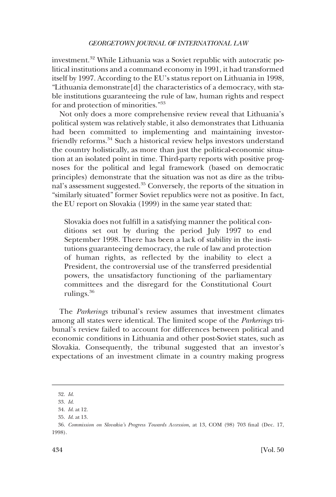investment.<sup>32</sup> While Lithuania was a Soviet republic with autocratic political institutions and a command economy in 1991, it had transformed itself by 1997. According to the EU's status report on Lithuania in 1998, "Lithuania demonstrate[d] the characteristics of a democracy, with stable institutions guaranteeing the rule of law, human rights and respect for and protection of minorities."<sup>33</sup>

Not only does a more comprehensive review reveal that Lithuania's political system was relatively stable, it also demonstrates that Lithuania had been committed to implementing and maintaining investorfriendly reforms.<sup>34</sup> Such a historical review helps investors understand the country holistically, as more than just the political-economic situation at an isolated point in time. Third-party reports with positive prognoses for the political and legal framework (based on democratic principles) demonstrate that the situation was not as dire as the tribunal's assessment suggested.35 Conversely, the reports of the situation in "similarly situated" former Soviet republics were not as positive. In fact, the EU report on Slovakia (1999) in the same year stated that:

Slovakia does not fulfill in a satisfying manner the political conditions set out by during the period July 1997 to end September 1998. There has been a lack of stability in the institutions guaranteeing democracy, the rule of law and protection of human rights, as reflected by the inability to elect a President, the controversial use of the transferred presidential powers, the unsatisfactory functioning of the parliamentary committees and the disregard for the Constitutional Court rulings.<sup>36</sup>

The *Parkerings* tribunal's review assumes that investment climates among all states were identical. The limited scope of the *Parkerings* tribunal's review failed to account for differences between political and economic conditions in Lithuania and other post-Soviet states, such as Slovakia. Consequently, the tribunal suggested that an investor's expectations of an investment climate in a country making progress

<sup>32.</sup> *Id*.

<sup>33.</sup> *Id*.

<sup>34.</sup> *Id*. at 12.

<sup>35.</sup> *Id*. at 13.

<sup>36.</sup> *Commission on Slovakia's Progress Towards Accession*, at 13, COM (98) 703 final (Dec. 17, 1998).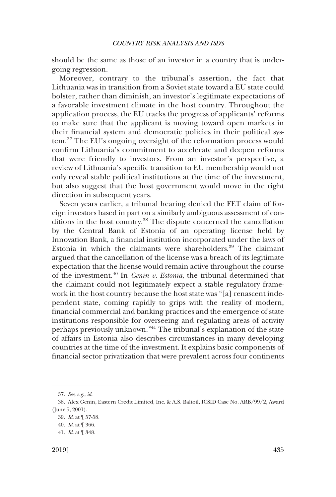should be the same as those of an investor in a country that is undergoing regression.

Moreover, contrary to the tribunal's assertion, the fact that Lithuania was in transition from a Soviet state toward a EU state could bolster, rather than diminish, an investor's legitimate expectations of a favorable investment climate in the host country. Throughout the application process, the EU tracks the progress of applicants' reforms to make sure that the applicant is moving toward open markets in their financial system and democratic policies in their political system.37 The EU's ongoing oversight of the reformation process would confirm Lithuania's commitment to accelerate and deepen reforms that were friendly to investors. From an investor's perspective, a review of Lithuania's specific transition to EU membership would not only reveal stable political institutions at the time of the investment, but also suggest that the host government would move in the right direction in subsequent years.

Seven years earlier, a tribunal hearing denied the FET claim of foreign investors based in part on a similarly ambiguous assessment of conditions in the host country.<sup>38</sup> The dispute concerned the cancellation by the Central Bank of Estonia of an operating license held by Innovation Bank, a financial institution incorporated under the laws of Estonia in which the claimants were shareholders.<sup>39</sup> The claimant argued that the cancellation of the license was a breach of its legitimate expectation that the license would remain active throughout the course of the investment.40 In *Genin v. Estonia*, the tribunal determined that the claimant could not legitimately expect a stable regulatory framework in the host country because the host state was "[a] renascent independent state, coming rapidly to grips with the reality of modern, financial commercial and banking practices and the emergence of state institutions responsible for overseeing and regulating areas of activity perhaps previously unknown."41 The tribunal's explanation of the state of affairs in Estonia also describes circumstances in many developing countries at the time of the investment. It explains basic components of financial sector privatization that were prevalent across four continents

<sup>37.</sup> *See, e.g*., *id*.

<sup>38.</sup> Alex Genin, Eastern Credit Limited, Inc. & A.S. Baltoil, ICSID Case No. ARB/99/2, Award (June 5, 2001).

<sup>39.</sup> *Id*. at ¶ 57-58.

<sup>40.</sup> *Id*. at ¶ 366.

<sup>41.</sup> *Id*. at ¶ 348.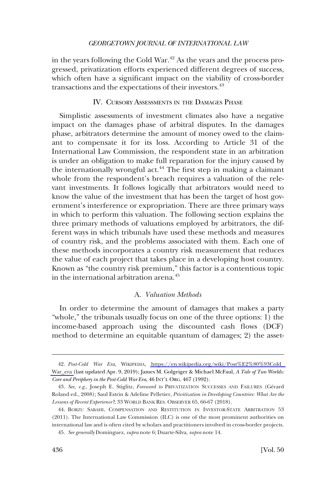<span id="page-11-0"></span>in the years following the Cold War.<sup>42</sup> As the years and the process progressed, privatization efforts experienced different degrees of success, which often have a significant impact on the viability of cross-border transactions and the expectations of their investors.<sup>43</sup>

## IV. CURSORY ASSESSMENTS IN THE DAMAGES PHASE

Simplistic assessments of investment climates also have a negative impact on the damages phase of arbitral disputes. In the damages phase, arbitrators determine the amount of money owed to the claimant to compensate it for its loss. According to Article 31 of the International Law Commission, the respondent state in an arbitration is under an obligation to make full reparation for the injury caused by the internationally wrongful act.<sup>44</sup> The first step in making a claimant whole from the respondent's breach requires a valuation of the relevant investments. It follows logically that arbitrators would need to know the value of the investment that has been the target of host government's interference or expropriation. There are three primary ways in which to perform this valuation. The following section explains the three primary methods of valuations employed by arbitrators, the different ways in which tribunals have used these methods and measures of country risk, and the problems associated with them. Each one of these methods incorporates a country risk measurement that reduces the value of each project that takes place in a developing host country. Known as "the country risk premium," this factor is a contentious topic in the international arbitration arena.<sup>45</sup>

## A. *Valuation Methods*

In order to determine the amount of damages that makes a party "whole," the tribunals usually focus on one of the three options: 1) the income-based approach using the discounted cash flows (DCF) method to determine an equitable quantum of damages; 2) the asset-

*Post-Cold War Era*, WIKIPEDIA, [https://en.wikipedia.org/wiki/Post%E2%80%93Cold\\_](https://en.wikipedia.org/wiki/Post%E2%80%93Cold_War_era)  42. [War\\_era](https://en.wikipedia.org/wiki/Post%E2%80%93Cold_War_era) (last updated Apr. 9, 2019); James M. Golgeiger & Michael McFaul, *A Tale of Two Worlds: Core and Periphery in the Post-Cold War Era*, 46 INT'L ORG. 467 (1992).

<sup>43.</sup> See, e.g., Joseph E. Stiglitz, *Foreword to* PRIVATIZATION SUCCESSES AND FAILURES (Gérard Roland ed., 2008); Saul Estrin & Adeline Pelletier, *Privitization in Developing Countries: What Are the Lessons of Recent Experience?*, 33 WORLD BANK RES. OBSERVER 65, 66-67 (2018).

<sup>44.</sup> BORZU SABAHI, COMPENSATION AND RESTITUTION IN INVESTOR-STATE ARBITRATION 53 (2011). The International Law Commission (ILC) is one of the most prominent authorities on international law and is often cited by scholars and practitioners involved in cross-border projects.

<sup>45.</sup> *See generally* Dominguez, *supra* note 6; Duarte-Silva, *supra* note 14.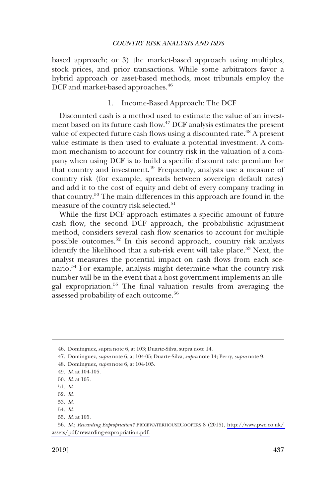<span id="page-12-0"></span>based approach; or 3) the market-based approach using multiples, stock prices, and prior transactions. While some arbitrators favor a hybrid approach or asset-based methods, most tribunals employ the DCF and market-based approaches.<sup>46</sup>

## 1. Income-Based Approach: The DCF

Discounted cash is a method used to estimate the value of an investment based on its future cash flow.47 DCF analysis estimates the present value of expected future cash flows using a discounted rate.<sup>48</sup> A present value estimate is then used to evaluate a potential investment. A common mechanism to account for country risk in the valuation of a company when using DCF is to build a specific discount rate premium for that country and investment.<sup>49</sup> Frequently, analysts use a measure of country risk (for example, spreads between sovereign default rates) and add it to the cost of equity and debt of every company trading in that country.50 The main differences in this approach are found in the measure of the country risk selected.<sup>51</sup>

While the first DCF approach estimates a specific amount of future cash flow, the second DCF approach, the probabilistic adjustment method, considers several cash flow scenarios to account for multiple possible outcomes.52 In this second approach, country risk analysts identify the likelihood that a sub-risk event will take place.<sup>53</sup> Next, the analyst measures the potential impact on cash flows from each scenario.54 For example, analysis might determine what the country risk number will be in the event that a host government implements an illegal expropriation.55 The final valuation results from averaging the assessed probability of each outcome.<sup>56</sup>

<sup>46.</sup> Dominguez, supra note 6, at 103; Duarte-Silva, supra note 14.

<sup>47.</sup> Dominguez, *supra* note 6, at 104-05; Duarte-Silva, *supra* note 14; Perry, *supra* note 9.

<sup>48.</sup> Dominguez, *supra* note 6, at 104-105.

<sup>49.</sup> *Id*. at 104-105.

<sup>50.</sup> *Id*. at 105.

<sup>51.</sup> *Id*. 52. *Id*.

<sup>53.</sup> *Id*.

<sup>54.</sup> *Id*.

<sup>55.</sup> *Id*. at 105.

<sup>56.</sup>  *Id*.; *Rewarding Expropriation?* PRICEWATERHOUSECOOPERS 8 (2015), [http://www.pwc.co.uk/](http://www.pwc.co.uk/assets/pdf/rewarding-expropriation.pdf)  [assets/pdf/rewarding-expropriation.pdf.](http://www.pwc.co.uk/assets/pdf/rewarding-expropriation.pdf)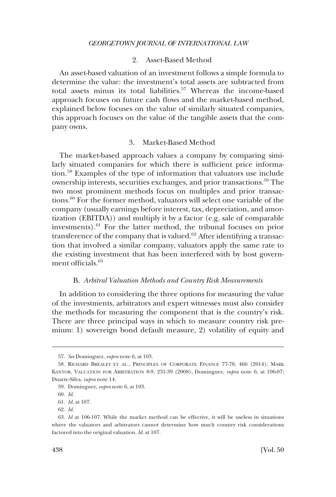## 2. Asset-Based Method

<span id="page-13-0"></span>An asset-based valuation of an investment follows a simple formula to determine the value: the investment's total assets are subtracted from total assets minus its total liabilities.<sup>57</sup> Whereas the income-based approach focuses on future cash flows and the market-based method, explained below focuses on the value of similarly situated companies, this approach focuses on the value of the tangible assets that the company owns.

## 3. Market-Based Method

The market-based approach values a company by comparing similarly situated companies for which there is sufficient price information.58 Examples of the type of information that valuators use include ownership interests, securities exchanges, and prior transactions.<sup>59</sup> The two most prominent methods focus on multiples and prior transactions.<sup>60</sup> For the former method, valuators will select one variable of the company (usually earnings before interest, tax, depreciation, and amortization (EBITDA)) and multiply it by a factor (e.g. sale of comparable investments).<sup>61</sup> For the latter method, the tribunal focuses on prior transference of the company that is valued.<sup>62</sup> After identifying a transaction that involved a similar company, valuators apply the same rate to the existing investment that has been interfered with by host government officials.<sup>63</sup>

#### B. *Arbitral Valuation Methods and Country Risk Measurements*

In addition to considering the three options for measuring the value of the investments, arbitrators and expert witnesses must also consider the methods for measuring the component that is the country's risk. There are three principal ways in which to measure country risk premium: 1) sovereign bond default measure, 2) volatility of equity and

<sup>57.</sup> *See* Dominguez, *supra* note 6, at 103.

<sup>58.</sup> RICHARD BREALEY ET AL., PRINCIPLES OF CORPORATE FINANCE 77-78, 466 (2014); MARK KANTOR, VALUATION FOR ARBITRATION 8-9, 231-39 (2008); Dominguez, *supra* note 6, at 106-07; Duarte-Silva, *supra* note 14.

<sup>59.</sup> Dominguez, *supra* note 6, at 103.

<sup>60.</sup> *Id*.

<sup>61.</sup> *Id*. at 107.

<sup>62.</sup> *Id*.

<sup>63.</sup> *Id* at 106-107. While the market method can be effective, it will be useless in situations where the valuators and arbitrators cannot determine how much country risk considerations factored into the original valuation. *Id*. at 107.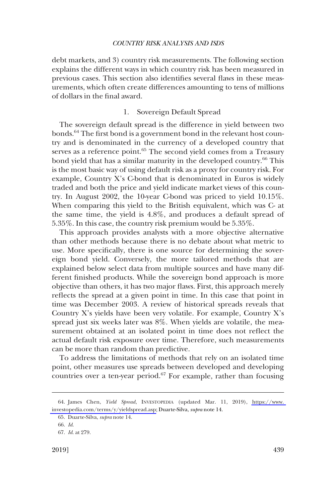<span id="page-14-0"></span>debt markets, and 3) country risk measurements. The following section explains the different ways in which country risk has been measured in previous cases. This section also identifies several flaws in these measurements, which often create differences amounting to tens of millions of dollars in the final award.

## 1. Sovereign Default Spread

The sovereign default spread is the difference in yield between two bonds.<sup>64</sup> The first bond is a government bond in the relevant host country and is denominated in the currency of a developed country that serves as a reference point.<sup>65</sup> The second yield comes from a Treasury bond yield that has a similar maturity in the developed country.<sup>66</sup> This is the most basic way of using default risk as a proxy for country risk. For example, Country X's C-bond that is denominated in Euros is widely traded and both the price and yield indicate market views of this country. In August 2002, the 10-year C-bond was priced to yield 10.15%. When comparing this yield to the British equivalent, which was C- at the same time, the yield is 4.8%, and produces a default spread of 5.35%. In this case, the country risk premium would be 5.35%.

This approach provides analysts with a more objective alternative than other methods because there is no debate about what metric to use. More specifically, there is one source for determining the sovereign bond yield. Conversely, the more tailored methods that are explained below select data from multiple sources and have many different finished products. While the sovereign bond approach is more objective than others, it has two major flaws. First, this approach merely reflects the spread at a given point in time. In this case that point in time was December 2003. A review of historical spreads reveals that Country X's yields have been very volatile. For example, Country X's spread just six weeks later was 8%. When yields are volatile, the measurement obtained at an isolated point in time does not reflect the actual default risk exposure over time. Therefore, such measurements can be more than random than predictive.

To address the limitations of methods that rely on an isolated time point, other measures use spreads between developed and developing countries over a ten-year period.<sup>67</sup> For example, rather than focusing

<sup>64.</sup> James Chen, *Yield Spread*, INVESTOPEDIA (updated Mar. 11, 2019), https://www. [investopedia.com/terms/y/yieldspread.asp;](https://www.investopedia.com/terms/y/yieldspread.asp) Duarte-Silva, *supra* note 14.

<sup>65.</sup> Duarte-Silva, *supra* note 14.

<sup>66.</sup> *Id*.

<sup>67.</sup> *Id*. at 279.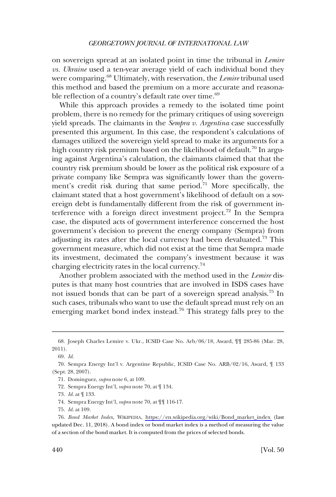on sovereign spread at an isolated point in time the tribunal in *Lemire vs. Ukraine* used a ten-year average yield of each individual bond they were comparing.68 Ultimately, with reservation, the *Lemire* tribunal used this method and based the premium on a more accurate and reasonable reflection of a country's default rate over time.<sup>69</sup>

While this approach provides a remedy to the isolated time point problem, there is no remedy for the primary critiques of using sovereign yield spreads. The claimants in the *Sempra v. Argentina* case successfully presented this argument. In this case, the respondent's calculations of damages utilized the sovereign yield spread to make its arguments for a high country risk premium based on the likelihood of default.<sup>70</sup> In arguing against Argentina's calculation, the claimants claimed that that the country risk premium should be lower as the political risk exposure of a private company like Sempra was significantly lower than the government's credit risk during that same period. $71$  More specifically, the claimant stated that a host government's likelihood of default on a sovereign debt is fundamentally different from the risk of government interference with a foreign direct investment project.72 In the Sempra case, the disputed acts of government interference concerned the host government's decision to prevent the energy company (Sempra) from adjusting its rates after the local currency had been devaluated.73 This government measure, which did not exist at the time that Sempra made its investment, decimated the company's investment because it was charging electricity rates in the local currency.74

Another problem associated with the method used in the *Lemire* disputes is that many host countries that are involved in ISDS cases have not issued bonds that can be part of a sovereign spread analysis.75 In such cases, tribunals who want to use the default spread must rely on an emerging market bond index instead.<sup>76</sup> This strategy falls prey to the

72. Sempra Energy Int'l, *supra* note 70, at ¶ 134.

- 74. Sempra Energy Int'l, *supra* note 70, at ¶¶ 116-17.
- 75. *Id*. at 109.

<sup>68.</sup> Joseph Charles Lemire v. Ukr., ICSID Case No. Arb/06/18, Award, ¶¶ 285-86 (Mar. 28, 2011).

<sup>69.</sup> *Id*.

<sup>70.</sup> Sempra Energy Int'l v. Argentine Republic, ICSID Case No. ARB/02/16, Award, ¶ 133 (Sept. 28, 2007).

<sup>71.</sup> Dominguez, *supra* note 6, at 109.

<sup>73.</sup> *Id*. at ¶ 133.

*Bond Market Index*, WIKIPEDIA, [https://en.wikipedia.org/wiki/Bond\\_market\\_index](https://en.wikipedia.org/wiki/Bond_market_index) (last 76. updated Dec. 11, 2018). A bond index or bond market index is a method of measuring the value of a section of the bond market. It is computed from the prices of selected bonds.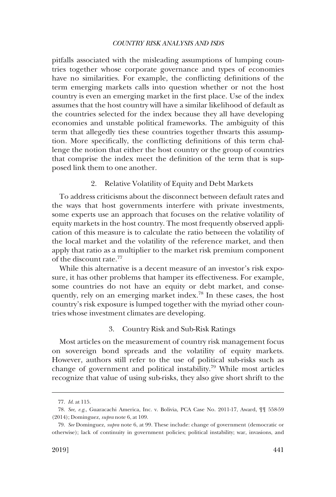<span id="page-16-0"></span>pitfalls associated with the misleading assumptions of lumping countries together whose corporate governance and types of economies have no similarities. For example, the conflicting definitions of the term emerging markets calls into question whether or not the host country is even an emerging market in the first place. Use of the index assumes that the host country will have a similar likelihood of default as the countries selected for the index because they all have developing economies and unstable political frameworks. The ambiguity of this term that allegedly ties these countries together thwarts this assumption. More specifically, the conflicting definitions of this term challenge the notion that either the host country or the group of countries that comprise the index meet the definition of the term that is supposed link them to one another.

## 2. Relative Volatility of Equity and Debt Markets

To address criticisms about the disconnect between default rates and the ways that host governments interfere with private investments, some experts use an approach that focuses on the relative volatility of equity markets in the host country. The most frequently observed application of this measure is to calculate the ratio between the volatility of the local market and the volatility of the reference market, and then apply that ratio as a multiplier to the market risk premium component of the discount rate.77

While this alternative is a decent measure of an investor's risk exposure, it has other problems that hamper its effectiveness. For example, some countries do not have an equity or debt market, and consequently, rely on an emerging market index.<sup>78</sup> In these cases, the host country's risk exposure is lumped together with the myriad other countries whose investment climates are developing.

## 3. Country Risk and Sub-Risk Ratings

Most articles on the measurement of country risk management focus on sovereign bond spreads and the volatility of equity markets. However, authors still refer to the use of political sub-risks such as change of government and political instability.<sup>79</sup> While most articles recognize that value of using sub-risks, they also give short shrift to the

<sup>77.</sup> *Id*. at 115.

<sup>78.</sup> *See, e.g*., Guaracachi America, Inc. v. Bolivia, PCA Case No. 2011-17, Award, ¶¶ 558-59 (2014); Dominguez, *supra* note 6, at 109.

<sup>79.</sup> *See* Dominguez, *supra* note 6, at 99. These include: change of government (democratic or otherwise); lack of continuity in government policies; political instability; war, invasions, and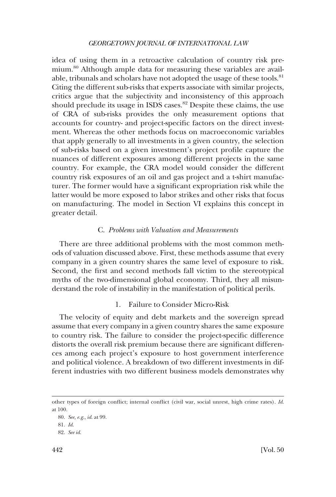<span id="page-17-0"></span>idea of using them in a retroactive calculation of country risk premium.<sup>80</sup> Although ample data for measuring these variables are available, tribunals and scholars have not adopted the usage of these tools.<sup>81</sup> Citing the different sub-risks that experts associate with similar projects, critics argue that the subjectivity and inconsistency of this approach should preclude its usage in ISDS cases.<sup>82</sup> Despite these claims, the use of CRA of sub-risks provides the only measurement options that accounts for country- and project-specific factors on the direct investment. Whereas the other methods focus on macroeconomic variables that apply generally to all investments in a given country, the selection of sub-risks based on a given investment's project profile capture the nuances of different exposures among different projects in the same country. For example, the CRA model would consider the different country risk exposures of an oil and gas project and a t-shirt manufacturer. The former would have a significant expropriation risk while the latter would be more exposed to labor strikes and other risks that focus on manufacturing. The model in Section VI explains this concept in greater detail.

## C. *Problems with Valuation and Measurements*

There are three additional problems with the most common methods of valuation discussed above. First, these methods assume that every company in a given country shares the same level of exposure to risk. Second, the first and second methods fall victim to the stereotypical myths of the two-dimensional global economy. Third, they all misunderstand the role of instability in the manifestation of political perils.

## 1. Failure to Consider Micro-Risk

The velocity of equity and debt markets and the sovereign spread assume that every company in a given country shares the same exposure to country risk. The failure to consider the project-specific difference distorts the overall risk premium because there are significant differences among each project's exposure to host government interference and political violence. A breakdown of two different investments in different industries with two different business models demonstrates why

other types of foreign conflict; internal conflict (civil war, social unrest, high crime rates). *Id*. at 100.

<sup>80.</sup> *See, e.g*., *id*. at 99.

<sup>81.</sup> *Id*.

<sup>82.</sup> *See id*.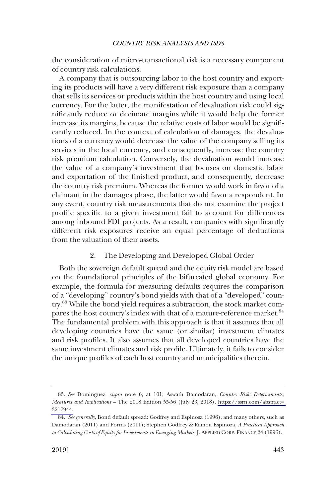<span id="page-18-0"></span>the consideration of micro-transactional risk is a necessary component of country risk calculations.

A company that is outsourcing labor to the host country and exporting its products will have a very different risk exposure than a company that sells its services or products within the host country and using local currency. For the latter, the manifestation of devaluation risk could significantly reduce or decimate margins while it would help the former increase its margins, because the relative costs of labor would be significantly reduced. In the context of calculation of damages, the devaluations of a currency would decrease the value of the company selling its services in the local currency, and consequently, increase the country risk premium calculation. Conversely, the devaluation would increase the value of a company's investment that focuses on domestic labor and exportation of the finished product, and consequently, decrease the country risk premium. Whereas the former would work in favor of a claimant in the damages phase, the latter would favor a respondent. In any event, country risk measurements that do not examine the project profile specific to a given investment fail to account for differences among inbound FDI projects. As a result, companies with significantly different risk exposures receive an equal percentage of deductions from the valuation of their assets.

## 2. The Developing and Developed Global Order

Both the sovereign default spread and the equity risk model are based on the foundational principles of the bifurcated global economy. For example, the formula for measuring defaults requires the comparison of a "developing" country's bond yields with that of a "developed" country.<sup>83</sup> While the bond yield requires a subtraction, the stock market compares the host country's index with that of a mature-reference market.<sup>84</sup> The fundamental problem with this approach is that it assumes that all developing countries have the same (or similar) investment climates and risk profiles. It also assumes that all developed countries have the same investment climates and risk profile. Ultimately, it fails to consider the unique profiles of each host country and municipalities therein.

*See* Dominguez, *supra* note 6, at 101; Aswath Damodaran, *Country Risk: Determinants,*  83. *Measures and Implications* – The 2018 Edition 55-56 (July 23, 2018), [https://ssrn.com/abstract=](https://ssrn.com/abstract=3217944)  [3217944.](https://ssrn.com/abstract=3217944)

<sup>84.</sup> *See generally*, Bond default spread: Godfrey and Espinosa (1996), and many others, such as Damodaran (2011) and Porras (2011); Stephen Godfrey & Ramon Espinoza, *A Practical Approach to Calculating Costs of Equity for Investments in Emerging Markets*, J. APPLIED CORP. FINANCE 24 (1996).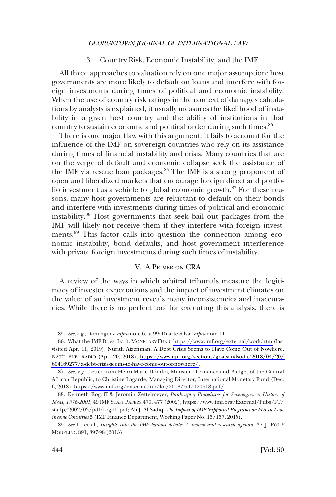3. Country Risk, Economic Instability, and the IMF

<span id="page-19-0"></span>All three approaches to valuation rely on one major assumption: host governments are more likely to default on loans and interfere with foreign investments during times of political and economic instability. When the use of country risk ratings in the context of damages calculations by analysts is explained, it usually measures the likelihood of instability in a given host country and the ability of institutions in that country to sustain economic and political order during such times.85

There is one major flaw with this argument: it fails to account for the influence of the IMF on sovereign countries who rely on its assistance during times of financial instability and crisis. Many countries that are on the verge of default and economic collapse seek the assistance of the IMF via rescue loan packages.<sup>86</sup> The IMF is a strong proponent of open and liberalized markets that encourage foreign direct and portfolio investment as a vehicle to global economic growth.<sup>87</sup> For these reasons, many host governments are reluctant to default on their bonds and interfere with investments during times of political and economic instability.88 Host governments that seek bail out packages from the IMF will likely not receive them if they interfere with foreign investments.89 This factor calls into question the connection among economic instability, bond defaults, and host government interference with private foreign investments during such times of instability.

## V. A PRIMER ON CRA

A review of the ways in which arbitral tribunals measure the legitimacy of investor expectations and the impact of investment climates on the value of an investment reveals many inconsistencies and inaccuracies. While there is no perfect tool for executing this analysis, there is

<sup>85.</sup> *See, e.g*., Dominguez *supra* note 6, at 99; Duarte-Silva, *supra* note 14.

What the IMF Does, INT'L MONETARY FUND, <https://www.imf.org/external/work.htm> (last 86. visited Apr. 11, 2019); Nurith Aizenman, A Debt Crisis Seems to Have Come Out of Nowhere, NAT'L PUB. RADIO (Apr. 20, 2018), [https://www.npr.org/sections/goatsandsoda/2018/04/20/](https://www.npr.org/sections/goatsandsoda/2018/04/20/604169277/a-debt-crisis-seems-to-have-come-out-of-nowhere/)  [604169277/a-debt-crisis-seems-to-have-come-out-of-nowhere/](https://www.npr.org/sections/goatsandsoda/2018/04/20/604169277/a-debt-crisis-seems-to-have-come-out-of-nowhere/).

<sup>87.</sup> See, e.g., Letter from Henri-Marie Dondra, Minister of Finance and Budget of the Central African Republic, to Christine Lagarde, Managing Director, International Monetary Fund (Dec. 6, 2018), [https://www.imf.org/external/np/loi/2018/caf/120618.pdf/](https://www.imf.org/external/np/loi/2018/caf/120618.pdf).

<sup>88.</sup> Kenneth Rogoff & Jeromin Zettelmeyer, *Bankruptcy Procedures for Sovereigns: A History of Ideas, 1976-2001*, 49 IMF STAFF PAPERS 470, 477 (2002), [https://www.imf.org/External/Pubs/FT/](https://www.imf.org/External/Pubs/FT/staffp/2002/03/pdf/rogoff.pdf)  [staffp/2002/03/pdf/rogoff.pdf;](https://www.imf.org/External/Pubs/FT/staffp/2002/03/pdf/rogoff.pdf) Ali J. Al-Sadiq, *The Impact of IMF-Supported Programs on FDI in Lowincome Countries* 5 (IMF Finance Department, Working Paper No. 15/157, 2015).

<sup>89.</sup> *See* Li et al., *Insights into the IMF bailout debate: A review and research agenda*, 37 J. POL'Y MODELING 891, 897-98 (2015).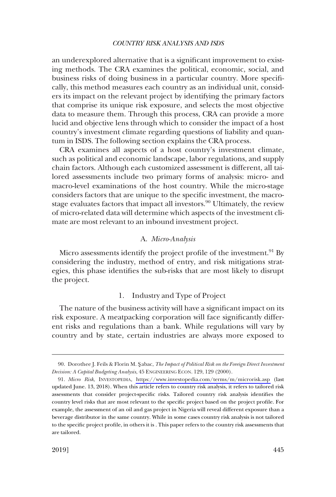<span id="page-20-0"></span>an underexplored alternative that is a significant improvement to existing methods. The CRA examines the political, economic, social, and business risks of doing business in a particular country. More specifically, this method measures each country as an individual unit, considers its impact on the relevant project by identifying the primary factors that comprise its unique risk exposure, and selects the most objective data to measure them. Through this process, CRA can provide a more lucid and objective lens through which to consider the impact of a host country's investment climate regarding questions of liability and quantum in ISDS. The following section explains the CRA process.

CRA examines all aspects of a host country's investment climate, such as political and economic landscape, labor regulations, and supply chain factors. Although each customized assessment is different, all tailored assessments include two primary forms of analysis: micro- and macro-level examinations of the host country. While the micro-stage considers factors that are unique to the specific investment, the macrostage evaluates factors that impact all investors.<sup>90</sup> Ultimately, the review of micro-related data will determine which aspects of the investment climate are most relevant to an inbound investment project.

## A. *Micro-Analysis*

Micro assessments identify the project profile of the investment.<sup>91</sup> By considering the industry, method of entry, and risk mitigations strategies, this phase identifies the sub-risks that are most likely to disrupt the project.

## 1. Industry and Type of Project

The nature of the business activity will have a significant impact on its risk exposure. A meatpacking corporation will face significantly different risks and regulations than a bank. While regulations will vary by country and by state, certain industries are always more exposed to

<sup>90.</sup> Dorothee J. Feils & Florin M. S**�** abac, *The Impact of Political Risk on the Foreign Direct Investment Decision: A Capital Budgeting Analysis*, 45 ENGINEERING ECON. 129, 129 (2000).

*Micro Risk*, INVESTOPEDIA, <https://www.investopedia.com/terms/m/microrisk.asp> (last 91. updated June. 13, 2018). When this article refers to country risk analysis, it refers to tailored risk assessments that consider project-specific risks. Tailored country risk analysis identifies the country level risks that are most relevant to the specific project based on the project profile. For example, the assessment of an oil and gas project in Nigeria will reveal different exposure than a beverage distributor in the same country. While in some cases country risk analysis is not tailored to the specific project profile, in others it is . This paper refers to the country risk assessments that are tailored.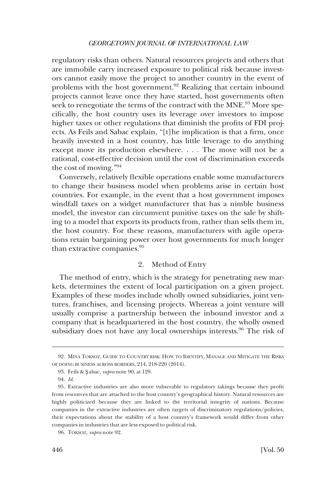<span id="page-21-0"></span>regulatory risks than others. Natural resources projects and others that are immobile carry increased exposure to political risk because investors cannot easily move the project to another country in the event of problems with the host government.<sup>92</sup> Realizing that certain inbound projects cannot leave once they have started, host governments often seek to renegotiate the terms of the contract with the MNE.<sup>93</sup> More specifically, the host country uses its leverage over investors to impose higher taxes or other regulations that diminish the profits of FDI projects. As Feils and Sabac explain, "[t]he implication is that a firm, once heavily invested in a host country, has little leverage to do anything except move its production elsewhere. . . . The move will not be a rational, cost-effective decision until the cost of discrimination exceeds the cost of moving."<sup>94</sup>

Conversely, relatively flexible operations enable some manufacturers to change their business model when problems arise in certain host countries. For example, in the event that a host government imposes windfall taxes on a widget manufacturer that has a nimble business model, the investor can circumvent punitive taxes on the sale by shifting to a model that exports its products from, rather than sells them in, the host country. For these reasons, manufacturers with agile operations retain bargaining power over host governments for much longer than extractive companies.<sup>95</sup>

## 2. Method of Entry

The method of entry, which is the strategy for penetrating new markets, determines the extent of local participation on a given project. Examples of these modes include wholly owned subsidiaries, joint ventures, franchises, and licensing projects. Whereas a joint venture will usually comprise a partnership between the inbound investor and a company that is headquartered in the host country, the wholly owned subsidiary does not have any local ownerships interests.<sup>96</sup> The risk of

<sup>92.</sup> MINA TOKSOZ, GUIDE TO COUNTRY RISK: HOW TO IDENTIFY, MANAGE AND MITIGATE THE RISKS OF DOING BUSINESS ACROSS BORDERS, 214, 218-220 (2014).

<sup>93.</sup> Feils & S**�** abac, *supra* note 90, at 129.

<sup>94.</sup> *Id*.

<sup>95.</sup> Extractive industries are also more vulnerable to regulatory takings because they profit from resources that are attached to the host country's geographical history. Natural resources are highly politicized because they are linked to the territorial integrity of nations. Because companies in the extractive industries are often targets of discriminatory regulations/policies, their expectations about the stability of a host country's framework would differ from other companies in industries that are less exposed to political risk.

<sup>96.</sup> TOKSOZ*, supra* note 92.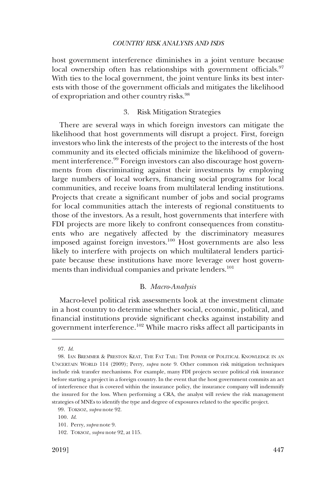<span id="page-22-0"></span>host government interference diminishes in a joint venture because local ownership often has relationships with government officials. $97$ With ties to the local government, the joint venture links its best interests with those of the government officials and mitigates the likelihood of expropriation and other country risks.98

## 3. Risk Mitigation Strategies

There are several ways in which foreign investors can mitigate the likelihood that host governments will disrupt a project. First, foreign investors who link the interests of the project to the interests of the host community and its elected officials minimize the likelihood of government interference.<sup>99</sup> Foreign investors can also discourage host governments from discriminating against their investments by employing large numbers of local workers, financing social programs for local communities, and receive loans from multilateral lending institutions. Projects that create a significant number of jobs and social programs for local communities attach the interests of regional constituents to those of the investors. As a result, host governments that interfere with FDI projects are more likely to confront consequences from constituents who are negatively affected by the discriminatory measures imposed against foreign investors.100 Host governments are also less likely to interfere with projects on which multilateral lenders participate because these institutions have more leverage over host governments than individual companies and private lenders.<sup>101</sup>

## B. *Macro-Analysis*

Macro-level political risk assessments look at the investment climate in a host country to determine whether social, economic, political, and financial institutions provide significant checks against instability and government interference.102 While macro risks affect all participants in

<sup>97.</sup> *Id*.

<sup>98.</sup> IAN BREMMER & PRESTON KEAT, THE FAT TAIL: THE POWER OF POLITICAL KNOWLEDGE IN AN UNCERTAIN WORLD 114 (2009); Perry, *supra* note 9. Other common risk mitigation techniques include risk transfer mechanisms. For example, many FDI projects secure political risk insurance before starting a project in a foreign country. In the event that the host government commits an act of interference that is covered within the insurance policy, the insurance company will indemnify the insured for the loss. When performing a CRA, the analyst will review the risk management strategies of MNEs to identify the type and degree of exposures related to the specific project.

<sup>99.</sup> TOKSOZ, *supra* note 92.

<sup>100.</sup> *Id*.

<sup>101.</sup> Perry, *supra* note 9.

<sup>102.</sup> TOKSOZ, *supra* note 92, at 115.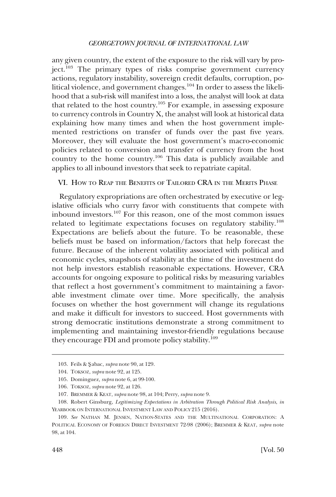<span id="page-23-0"></span>any given country, the extent of the exposure to the risk will vary by project.<sup>103</sup> The primary types of risks comprise government currency actions, regulatory instability, sovereign credit defaults, corruption, political violence, and government changes.<sup>104</sup> In order to assess the likelihood that a sub-risk will manifest into a loss, the analyst will look at data that related to the host country.105 For example, in assessing exposure to currency controls in Country X, the analyst will look at historical data explaining how many times and when the host government implemented restrictions on transfer of funds over the past five years. Moreover, they will evaluate the host government's macro-economic policies related to conversion and transfer of currency from the host country to the home country.106 This data is publicly available and applies to all inbound investors that seek to repatriate capital.

VI. HOW TO REAP THE BENEFITS OF TAILORED CRA IN THE MERITS PHASE

Regulatory expropriations are often orchestrated by executive or legislative officials who curry favor with constituents that compete with inbound investors.107 For this reason, one of the most common issues related to legitimate expectations focuses on regulatory stability.<sup>108</sup> Expectations are beliefs about the future. To be reasonable, these beliefs must be based on information/factors that help forecast the future. Because of the inherent volatility associated with political and economic cycles, snapshots of stability at the time of the investment do not help investors establish reasonable expectations. However, CRA accounts for ongoing exposure to political risks by measuring variables that reflect a host government's commitment to maintaining a favorable investment climate over time. More specifically, the analysis focuses on whether the host government will change its regulations and make it difficult for investors to succeed. Host governments with strong democratic institutions demonstrate a strong commitment to implementing and maintaining investor-friendly regulations because they encourage FDI and promote policy stability.<sup>109</sup>

<sup>103.</sup> Feils & S**�** abac, *supra* note 90, at 129.

<sup>104.</sup> TOKSOZ, *supra* note 92, at 125.

<sup>105.</sup> Dominguez*, supra* note 6, at 99-100.

<sup>106.</sup> TOKSOZ, *supra* note 92, at 126.

<sup>107.</sup> BREMMER & KEAT, *supra* note 98, at 104; Perry, *supra* note 9.

<sup>108.</sup> Robert Ginsburg, *Legitimizing Expectations in Arbitration Through Political Risk Analysis*, *in*  YEARBOOK ON INTERNATIONAL INVESTMENT LAW AND POLICY 215 (2016).

<sup>109.</sup> *See* NATHAN M. JENSEN, NATION-STATES AND THE MULTINATIONAL CORPORATION: A POLITICAL ECONOMY OF FOREIGN DIRECT INVESTMENT 72-98 (2006); BREMMER & KEAT, *supra* note 98, at 104.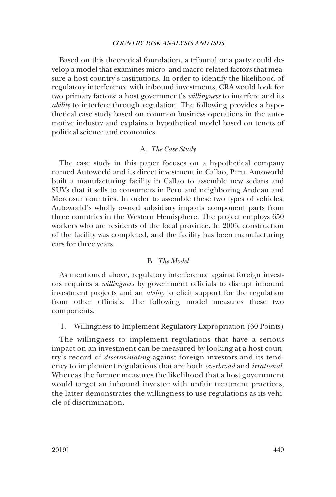<span id="page-24-0"></span>Based on this theoretical foundation, a tribunal or a party could develop a model that examines micro- and macro-related factors that measure a host country's institutions. In order to identify the likelihood of regulatory interference with inbound investments, CRA would look for two primary factors: a host government's *willingness* to interfere and its *ability* to interfere through regulation. The following provides a hypothetical case study based on common business operations in the automotive industry and explains a hypothetical model based on tenets of political science and economics.

## A. *The Case Study*

The case study in this paper focuses on a hypothetical company named Autoworld and its direct investment in Callao, Peru. Autoworld built a manufacturing facility in Callao to assemble new sedans and SUVs that it sells to consumers in Peru and neighboring Andean and Mercosur countries. In order to assemble these two types of vehicles, Autoworld's wholly owned subsidiary imports component parts from three countries in the Western Hemisphere. The project employs 650 workers who are residents of the local province. In 2006, construction of the facility was completed, and the facility has been manufacturing cars for three years.

## B. *The Model*

As mentioned above, regulatory interference against foreign investors requires a *willingness* by government officials to disrupt inbound investment projects and an *ability* to elicit support for the regulation from other officials. The following model measures these two components.

1. Willingness to Implement Regulatory Expropriation (60 Points)

The willingness to implement regulations that have a serious impact on an investment can be measured by looking at a host country's record of *discriminating* against foreign investors and its tendency to implement regulations that are both *overbroad* and *irrational*. Whereas the former measures the likelihood that a host government would target an inbound investor with unfair treatment practices, the latter demonstrates the willingness to use regulations as its vehicle of discrimination.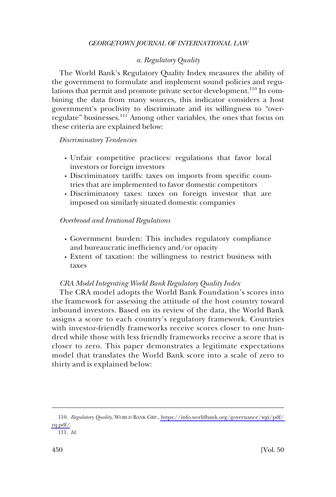## *a. Regulatory Quality*

<span id="page-25-0"></span>The World Bank's Regulatory Quality Index measures the ability of the government to formulate and implement sound policies and regulations that permit and promote private sector development.<sup>110</sup> In combining the data from many sources, this indicator considers a host government's proclivity to discriminate and its willingness to "overregulate" businesses.111 Among other variables, the ones that focus on these criteria are explained below:

*Discriminatory Tendencies* 

- � Unfair competitive practices: regulations that favor local investors or foreign investors
- � Discriminatory tariffs: taxes on imports from specific countries that are implemented to favor domestic competitors
- � Discriminatory taxes: taxes on foreign investor that are imposed on similarly situated domestic companies

## *Overbroad and Irrational Regulations*

- � Government burden: This includes regulatory compliance and bureaucratic inefficiency and/or opacity
- � Extent of taxation: the willingness to restrict business with taxes

### *CRA Model Integrating World Bank Regulatory Quality Index*

The CRA model adopts the World Bank Foundation's scores into the framework for assessing the attitude of the host country toward inbound investors. Based on its review of the data, the World Bank assigns a score to each country's regulatory framework. Countries with investor-friendly frameworks receive scores closer to one hundred while those with less friendly frameworks receive a score that is closer to zero. This paper demonstrates a legitimate expectations model that translates the World Bank score into a scale of zero to thirty and is explained below:

*Regulatory Quality*, WORLD BANK GRP., [https://info.worldbank.org/governance/wgi/pdf/](https://info.worldbank.org/governance/wgi/pdf/rq.pdf/)  110. [rq.pdf/](https://info.worldbank.org/governance/wgi/pdf/rq.pdf/).

<sup>111.</sup> *Id*.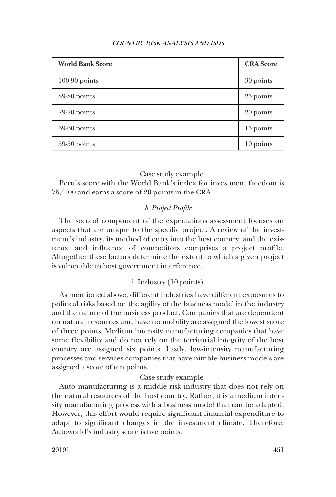<span id="page-26-0"></span>

| <b>World Bank Score</b> | <b>CRA</b> Score |
|-------------------------|------------------|
| $100-90$ points         | 30 points        |
| 89-80 points            | 25 points        |
| $79-70$ points          | 20 points        |
| $69-60$ points          | 15 points        |
| $59-50$ points          | 10 points        |

## Case study example

Peru's score with the World Bank's index for investment freedom is 75/100 and earns a score of 20 points in the CRA.

## *b. Project Profile*

The second component of the expectations assessment focuses on aspects that are unique to the specific project. A review of the investment's industry, its method of entry into the host country, and the existence and influence of competitors comprises a project profile. Altogether these factors determine the extent to which a given project is vulnerable to host government interference.

## i. Industry (10 points)

As mentioned above, different industries have different exposures to political risks based on the agility of the business model in the industry and the nature of the business product. Companies that are dependent on natural resources and have no mobility are assigned the lowest score of three points. Medium intensity manufacturing companies that have some flexibility and do not rely on the territorial integrity of the host country are assigned six points. Lastly, low-intensity manufacturing processes and services companies that have nimble business models are assigned a score of ten points.

## Case study example

Auto manufacturing is a middle risk industry that does not rely on the natural resources of the host country. Rather, it is a medium intensity manufacturing process with a business model that can be adapted. However, this effort would require significant financial expenditure to adapt to significant changes in the investment climate. Therefore, Autoworld's industry score is five points.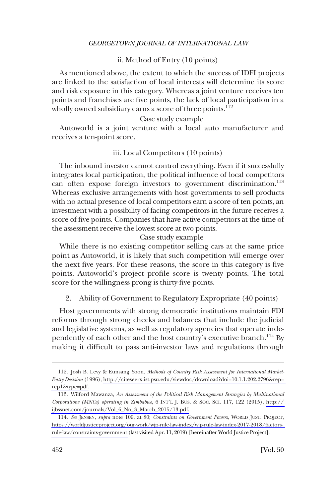## ii. Method of Entry (10 points)

<span id="page-27-0"></span>As mentioned above, the extent to which the success of IDFI projects are linked to the satisfaction of local interests will determine its score and risk exposure in this category. Whereas a joint venture receives ten points and franchises are five points, the lack of local participation in a wholly owned subsidiary earns a score of three points.<sup>112</sup>

## Case study example

Autoworld is a joint venture with a local auto manufacturer and receives a ten-point score.

## iii. Local Competitors (10 points)

The inbound investor cannot control everything. Even if it successfully integrates local participation, the political influence of local competitors can often expose foreign investors to government discrimination.<sup>113</sup> Whereas exclusive arrangements with host governments to sell products with no actual presence of local competitors earn a score of ten points, an investment with a possibility of facing competitors in the future receives a score of five points. Companies that have active competitors at the time of the assessment receive the lowest score at two points.

### Case study example

While there is no existing competitor selling cars at the same price point as Autoworld, it is likely that such competition will emerge over the next five years. For these reasons, the score in this category is five points. Autoworld's project profile score is twenty points. The total score for the willingness prong is thirty-five points.

2. Ability of Government to Regulatory Expropriate (40 points)

Host governments with strong democratic institutions maintain FDI reforms through strong checks and balances that include the judicial and legislative systems, as well as regulatory agencies that operate independently of each other and the host country's executive branch.<sup>114</sup> By making it difficult to pass anti-investor laws and regulations through

Josh B. Levy & Eunsang Yoon, *Methods of Country Risk Assessment for International Market-*112. *Entry Decision* (1996), [http://citeseerx.ist.psu.edu/viewdoc/download?doi=10.1.1.202.2796&rep=](http://citeseerx.ist.psu.edu/viewdoc/download?doi=10.1.1.202.2796&rep=rep1&type=pdf)  [rep1&type=pdf.](http://citeseerx.ist.psu.edu/viewdoc/download?doi=10.1.1.202.2796&rep=rep1&type=pdf)

<sup>113.</sup> Wilford Mawanza, An Assessment of the Political Risk Management Strategies by Multinational *Corporations (MNCs) operating in Zimbabwe*, 6 INT'L J. BUS. & SOC. SCI. 117, 122 (2015), [http://](http://ijbssnet.com/journals/Vol_6_No_3_March_2015/13.pdf)  [ijbssnet.com/journals/Vol\\_6\\_No\\_3\\_March\\_2015/13.pdf.](http://ijbssnet.com/journals/Vol_6_No_3_March_2015/13.pdf)

<sup>114.</sup> See JENSEN, *supra* note 109, at 80; *Constraints on Government Powers*, WORLD JUST. PROJECT, [https://worldjusticeproject.org/our-work/wjp-rule-law-index/wjp-rule-law-index-2017-2018/factors](https://worldjusticeproject.org/our-work/wjp-rule-law-index/wjp-rule-law-index-2017-2018/factors-rule-law/constraints-government)[rule-law/constraints-government](https://worldjusticeproject.org/our-work/wjp-rule-law-index/wjp-rule-law-index-2017-2018/factors-rule-law/constraints-government) (last visited Apr. 11, 2019) [hereinafter World Justice Project].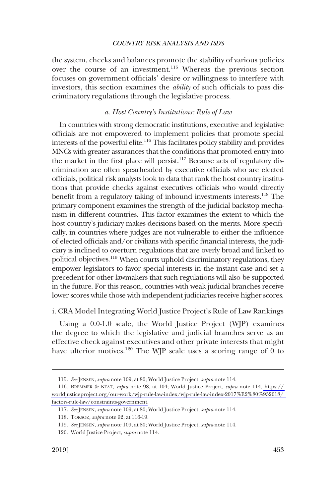<span id="page-28-0"></span>the system, checks and balances promote the stability of various policies over the course of an investment.115 Whereas the previous section focuses on government officials' desire or willingness to interfere with investors, this section examines the *ability* of such officials to pass discriminatory regulations through the legislative process.

## *a. Host Country's Institutions: Rule of Law*

In countries with strong democratic institutions, executive and legislative officials are not empowered to implement policies that promote special interests of the powerful elite.<sup>116</sup> This facilitates policy stability and provides MNCs with greater assurances that the conditions that promoted entry into the market in the first place will persist.117 Because acts of regulatory discrimination are often spearheaded by executive officials who are elected officials, political risk analysts look to data that rank the host country institutions that provide checks against executives officials who would directly benefit from a regulatory taking of inbound investments interests.118 The primary component examines the strength of the judicial backstop mechanism in different countries. This factor examines the extent to which the host country's judiciary makes decisions based on the merits. More specifically, in countries where judges are not vulnerable to either the influence of elected officials and/or civilians with specific financial interests, the judiciary is inclined to overturn regulations that are overly broad and linked to political objectives.<sup>119</sup> When courts uphold discriminatory regulations, they empower legislators to favor special interests in the instant case and set a precedent for other lawmakers that such regulations will also be supported in the future. For this reason, countries with weak judicial branches receive lower scores while those with independent judiciaries receive higher scores.

### i. CRA Model Integrating World Justice Project's Rule of Law Rankings

Using a 0.0-1.0 scale, the World Justice Project (WJP) examines the degree to which the legislative and judicial branches serve as an effective check against executives and other private interests that might have ulterior motives.<sup>120</sup> The WJP scale uses a scoring range of 0 to

<sup>115.</sup> *See* JENSEN, *supra* note 109, at 80; World Justice Project, *supra* note 114.

BREMMER & KEAT, *supra* note 98, at 104; World Justice Project, *supra* note 114, [https://](https://worldjusticeproject.org/our-work/wjp-rule-law-index/wjp-rule-law-index-2017%E2%80%932018/factors-rule-law/constraints-government)  116. [worldjusticeproject.org/our-work/wjp-rule-law-index/wjp-rule-law-index-2017%E2%80%932018/](https://worldjusticeproject.org/our-work/wjp-rule-law-index/wjp-rule-law-index-2017%E2%80%932018/factors-rule-law/constraints-government)  [factors-rule-law/constraints-government](https://worldjusticeproject.org/our-work/wjp-rule-law-index/wjp-rule-law-index-2017%E2%80%932018/factors-rule-law/constraints-government).

<sup>117.</sup> *See* JENSEN, *supra* note 109, at 80; World Justice Project, *supra* note 114.

<sup>118.</sup> TOKSOZ*, supra* note 92, at 116-19.

<sup>119.</sup> *See* JENSEN, *supra* note 109, at 80; World Justice Project, *supra* note 114.

<sup>120.</sup> World Justice Project, *supra* note 114.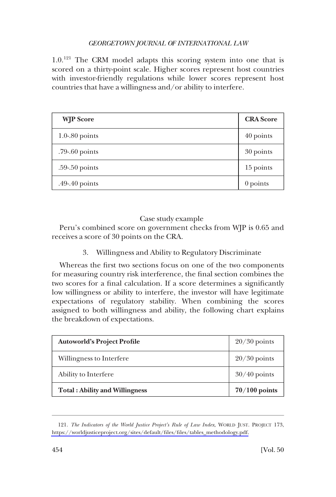<span id="page-29-0"></span>1.0.<sup>121</sup> The CRM model adapts this scoring system into one that is scored on a thirty-point scale. Higher scores represent host countries with investor-friendly regulations while lower scores represent host countries that have a willingness and/or ability to interfere.

| <b>WJP</b> Score    | <b>CRA</b> Score |
|---------------------|------------------|
| $1.0 - 0.80$ points | 40 points        |
| $.79-60$ points     | 30 points        |
| $.59 - .50$ points  | 15 points        |
| .49-.40 points      | $0$ points       |

# Case study example

Peru's combined score on government checks from WJP is 0.65 and receives a score of 30 points on the CRA.

3. Willingness and Ability to Regulatory Discriminate

Whereas the first two sections focus on one of the two components for measuring country risk interference, the final section combines the two scores for a final calculation. If a score determines a significantly low willingness or ability to interfere, the investor will have legitimate expectations of regulatory stability. When combining the scores assigned to both willingness and ability, the following chart explains the breakdown of expectations.

| <b>Autoworld's Project Profile</b>    | $20/30$ points  |
|---------------------------------------|-----------------|
| Willingness to Interfere              | $20/30$ points  |
| Ability to Interfere                  | $30/40$ points  |
| <b>Total: Ability and Willingness</b> | $70/100$ points |

<sup>121.</sup> The Indicators of the World Justice Project's Rule of Law Index, WORLD JUST. PROJECT 173, [https://worldjusticeproject.org/sites/default/files/files/tables\\_methodology.pdf.](https://worldjusticeproject.org/sites/default/files/files/tables_methodology.pdf)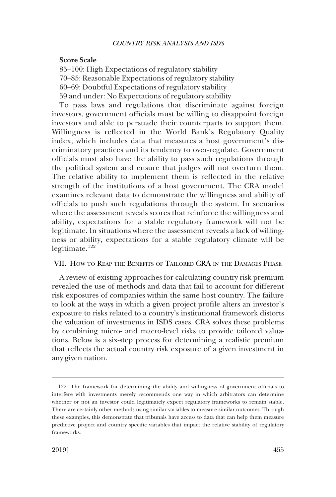### <span id="page-30-0"></span>**Score Scale**

85–100: High Expectations of regulatory stability 70–85: Reasonable Expectations of regulatory stability 60–69: Doubtful Expectations of regulatory stability 59 and under: No Expectations of regulatory stability

To pass laws and regulations that discriminate against foreign investors, government officials must be willing to disappoint foreign investors and able to persuade their counterparts to support them. Willingness is reflected in the World Bank's Regulatory Quality index, which includes data that measures a host government's discriminatory practices and its tendency to over-regulate. Government officials must also have the ability to pass such regulations through the political system and ensure that judges will not overturn them. The relative ability to implement them is reflected in the relative strength of the institutions of a host government. The CRA model examines relevant data to demonstrate the willingness and ability of officials to push such regulations through the system. In scenarios where the assessment reveals scores that reinforce the willingness and ability, expectations for a stable regulatory framework will not be legitimate. In situations where the assessment reveals a lack of willingness or ability, expectations for a stable regulatory climate will be legitimate.<sup>122</sup>

## VII. HOW TO REAP THE BENEFITS OF TAILORED CRA IN THE DAMAGES PHASE

A review of existing approaches for calculating country risk premium revealed the use of methods and data that fail to account for different risk exposures of companies within the same host country. The failure to look at the ways in which a given project profile alters an investor's exposure to risks related to a country's institutional framework distorts the valuation of investments in ISDS cases. CRA solves these problems by combining micro- and macro-level risks to provide tailored valuations. Below is a six-step process for determining a realistic premium that reflects the actual country risk exposure of a given investment in any given nation.

<sup>122.</sup> The framework for determining the ability and willingness of government officials to interfere with investments merely recommends one way in which arbitrators can determine whether or not an investor could legitimately expect regulatory frameworks to remain stable. There are certainly other methods using similar variables to measure similar outcomes. Through these examples, this demonstrate that tribunals have access to data that can help them measure predictive project and country specific variables that impact the relative stability of regulatory frameworks.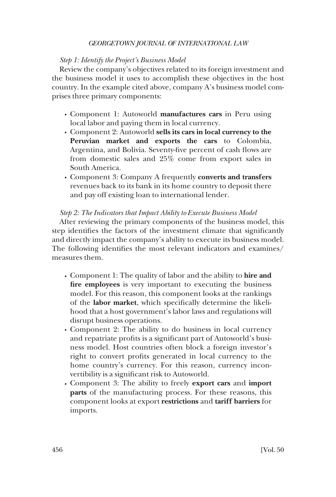## *Step 1: Identify the Project's Business Model*

Review the company's objectives related to its foreign investment and the business model it uses to accomplish these objectives in the host country. In the example cited above, company A's business model comprises three primary components:

- � Component 1: Autoworld **manufactures cars** in Peru using local labor and paying them in local currency.
- � Component 2: Autoworld **sells its cars in local currency to the Peruvian market and exports the cars** to Colombia, Argentina, and Bolivia. Seventy-five percent of cash flows are from domestic sales and 25% come from export sales in South America.
- � Component 3: Company A frequently **converts and transfers**  revenues back to its bank in its home country to deposit there and pay off existing loan to international lender.

## *Step 2: The Indicators that Impact Ability to Execute Business Model*

After reviewing the primary components of the business model, this step identifies the factors of the investment climate that significantly and directly impact the company's ability to execute its business model. The following identifies the most relevant indicators and examines/ measures them.

- � Component 1: The quality of labor and the ability to **hire and fire employees** is very important to executing the business model. For this reason, this component looks at the rankings of the **labor market**, which specifically determine the likelihood that a host government's labor laws and regulations will disrupt business operations.
- � Component 2: The ability to do business in local currency and repatriate profits is a significant part of Autoworld's business model. Host countries often block a foreign investor's right to convert profits generated in local currency to the home country's currency. For this reason, currency inconvertibility is a significant risk to Autoworld.
- � Component 3: The ability to freely **export cars** and **import parts** of the manufacturing process. For these reasons, this component looks at export **restrictions** and **tariff barriers** for imports.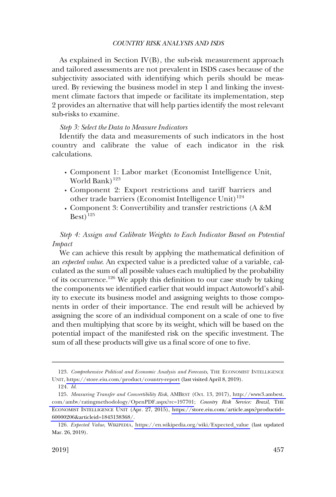As explained in Section IV(B), the sub-risk measurement approach and tailored assessments are not prevalent in ISDS cases because of the subjectivity associated with identifying which perils should be measured. By reviewing the business model in step 1 and linking the investment climate factors that impede or facilitate its implementation, step 2 provides an alternative that will help parties identify the most relevant sub-risks to examine.

#### *Step 3: Select the Data to Measure Indicators*

Identify the data and measurements of such indicators in the host country and calibrate the value of each indicator in the risk calculations.

- � Component 1: Labor market (Economist Intelligence Unit, World Bank $123$
- � Component 2: Export restrictions and tariff barriers and other trade barriers (Economist Intelligence Unit)<sup>124</sup>
- � Component 3: Convertibility and transfer restrictions (A &M  $Best)$ <sup>125</sup>

*Step 4: Assign and Calibrate Weights to Each Indicator Based on Potential Impact* 

We can achieve this result by applying the mathematical definition of an *expected value*. An expected value is a predicted value of a variable, calculated as the sum of all possible values each multiplied by the probability of its occurrence.<sup>126</sup> We apply this definition to our case study by taking the components we identified earlier that would impact Autoworld's ability to execute its business model and assigning weights to those components in order of their importance. The end result will be achieved by assigning the score of an individual component on a scale of one to five and then multiplying that score by its weight, which will be based on the potential impact of the manifested risk on the specific investment. The sum of all these products will give us a final score of one to five.

<sup>123.</sup> Comprehensive Political and Economic Analysis and Forecasts, THE ECONOMIST INTELLIGENCE UNIT,<https://store.eiu.com/product/country-report>(last visited April 8, 2019).

<sup>124.</sup> *Id*.

*Measuring Transfer and Convertibility Risk*, AMBEST (Oct. 13, 2017), [http://www3.ambest.](http://www3.ambest.com/ambv/ratingmethodology/OpenPDF.aspx?rc=197701)  125. [com/ambv/ratingmethodology/OpenPDF.aspx?rc=197701;](http://www3.ambest.com/ambv/ratingmethodology/OpenPDF.aspx?rc=197701) *Country Risk Service: Brazil*, THE ECONOMIST INTELLIGENCE UNIT (Apr. 27, 2015), [https://store.eiu.com/article.aspx?productid=](https://store.eiu.com/article.aspx?productid=60000206&articleid=1843138368/)  [60000206&articleid=1843138368/.](https://store.eiu.com/article.aspx?productid=60000206&articleid=1843138368/)

<sup>126.</sup> Expected Value, WIKIPEDIA, [https://en.wikipedia.org/wiki/Expected\\_value](https://en.wikipedia.org/wiki/Expected_value) (last updated Mar. 26, 2019).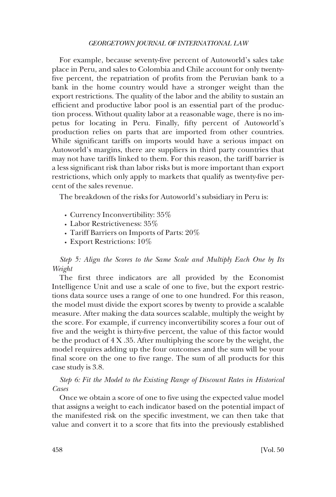For example, because seventy-five percent of Autoworld's sales take place in Peru, and sales to Colombia and Chile account for only twentyfive percent, the repatriation of profits from the Peruvian bank to a bank in the home country would have a stronger weight than the export restrictions. The quality of the labor and the ability to sustain an efficient and productive labor pool is an essential part of the production process. Without quality labor at a reasonable wage, there is no impetus for locating in Peru. Finally, fifty percent of Autoworld's production relies on parts that are imported from other countries. While significant tariffs on imports would have a serious impact on Autoworld's margins, there are suppliers in third party countries that may not have tariffs linked to them. For this reason, the tariff barrier is a less significant risk than labor risks but is more important than export restrictions, which only apply to markets that qualify as twenty-five percent of the sales revenue.

The breakdown of the risks for Autoworld's subsidiary in Peru is:

- Currency Inconvertibility:  $35\%$
- Labor Restrictiveness:  $35\%$
- Tariff Barriers on Imports of Parts: 20%
- Export Restrictions:  $10\%$

*Step 5: Align the Scores to the Same Scale and Multiply Each One by Its Weight* 

The first three indicators are all provided by the Economist Intelligence Unit and use a scale of one to five, but the export restrictions data source uses a range of one to one hundred. For this reason, the model must divide the export scores by twenty to provide a scalable measure. After making the data sources scalable, multiply the weight by the score. For example, if currency inconvertibility scores a four out of five and the weight is thirty-five percent, the value of this factor would be the product of 4 X .35. After multiplying the score by the weight, the model requires adding up the four outcomes and the sum will be your final score on the one to five range. The sum of all products for this case study is 3.8.

*Step 6: Fit the Model to the Existing Range of Discount Rates in Historical Cases* 

Once we obtain a score of one to five using the expected value model that assigns a weight to each indicator based on the potential impact of the manifested risk on the specific investment, we can then take that value and convert it to a score that fits into the previously established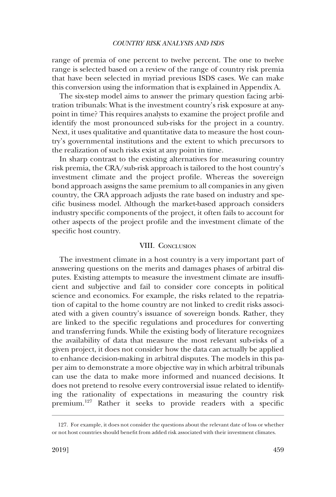<span id="page-34-0"></span>range of premia of one percent to twelve percent. The one to twelve range is selected based on a review of the range of country risk premia that have been selected in myriad previous ISDS cases. We can make this conversion using the information that is explained in Appendix A.

The six-step model aims to answer the primary question facing arbitration tribunals: What is the investment country's risk exposure at anypoint in time? This requires analysts to examine the project profile and identify the most pronounced sub-risks for the project in a country. Next, it uses qualitative and quantitative data to measure the host country's governmental institutions and the extent to which precursors to the realization of such risks exist at any point in time.

In sharp contrast to the existing alternatives for measuring country risk premia, the CRA/sub-risk approach is tailored to the host country's investment climate and the project profile. Whereas the sovereign bond approach assigns the same premium to all companies in any given country, the CRA approach adjusts the rate based on industry and specific business model. Although the market-based approach considers industry specific components of the project, it often fails to account for other aspects of the project profile and the investment climate of the specific host country.

## VIII. CONCLUSION

The investment climate in a host country is a very important part of answering questions on the merits and damages phases of arbitral disputes. Existing attempts to measure the investment climate are insufficient and subjective and fail to consider core concepts in political science and economics. For example, the risks related to the repatriation of capital to the home country are not linked to credit risks associated with a given country's issuance of sovereign bonds. Rather, they are linked to the specific regulations and procedures for converting and transferring funds. While the existing body of literature recognizes the availability of data that measure the most relevant sub-risks of a given project, it does not consider how the data can actually be applied to enhance decision-making in arbitral disputes. The models in this paper aim to demonstrate a more objective way in which arbitral tribunals can use the data to make more informed and nuanced decisions. It does not pretend to resolve every controversial issue related to identifying the rationality of expectations in measuring the country risk premium.127 Rather it seeks to provide readers with a specific

<sup>127.</sup> For example, it does not consider the questions about the relevant date of loss or whether or not host countries should benefit from added risk associated with their investment climates.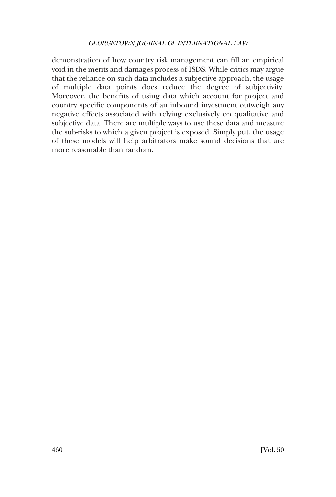demonstration of how country risk management can fill an empirical void in the merits and damages process of ISDS. While critics may argue that the reliance on such data includes a subjective approach, the usage of multiple data points does reduce the degree of subjectivity. Moreover, the benefits of using data which account for project and country specific components of an inbound investment outweigh any negative effects associated with relying exclusively on qualitative and subjective data. There are multiple ways to use these data and measure the sub-risks to which a given project is exposed. Simply put, the usage of these models will help arbitrators make sound decisions that are more reasonable than random.